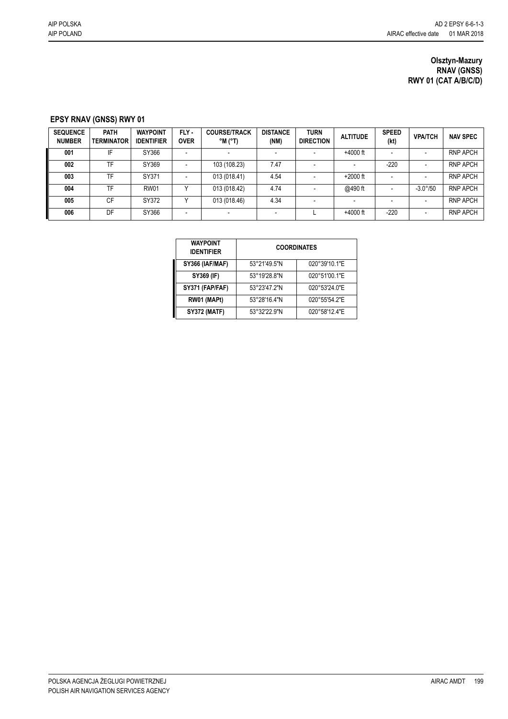## **Olsztyn-Mazury RNAV (GNSS) RWY 01 (CAT A/B/C/D)**

## **EPSY RNAV (GNSS) RWY 01**

| <b>SEQUENCE</b><br><b>NUMBER</b> | <b>PATH</b><br><b>TERMINATOR</b> | <b>WAYPOINT</b><br><b>IDENTIFIER</b> | FLY -<br><b>OVER</b> | <b>COURSE/TRACK</b><br>$^{\circ}$ M ( $^{\circ}$ T) | <b>DISTANCE</b><br>(NM) | TURN<br><b>DIRECTION</b> | <b>ALTITUDE</b>          | <b>SPEED</b><br>(kt) | <b>VPA/TCH</b>    | <b>NAV SPEC</b> |
|----------------------------------|----------------------------------|--------------------------------------|----------------------|-----------------------------------------------------|-------------------------|--------------------------|--------------------------|----------------------|-------------------|-----------------|
| 001                              | IF                               | SY366                                |                      |                                                     |                         |                          | $+4000$ ft               |                      |                   | <b>RNP APCH</b> |
| 002                              | TF                               | SY369                                |                      | 103 (108.23)                                        | 7.47                    |                          |                          | $-220$               |                   | <b>RNP APCH</b> |
| 003                              | TF                               | SY371                                |                      | 013 (018.41)                                        | 4.54                    |                          | $+2000$ ft               |                      |                   | <b>RNP APCH</b> |
| 004                              | TF                               | <b>RW01</b>                          |                      | 013 (018.42)                                        | 4.74                    |                          | @490 ft                  |                      | $-3.0^{\circ}/50$ | <b>RNP APCH</b> |
| 005                              | CF                               | SY372                                |                      | 013 (018.46)                                        | 4.34                    |                          | $\overline{\phantom{a}}$ |                      |                   | <b>RNP APCH</b> |
| 006                              | DF                               | SY366                                |                      |                                                     | -                       |                          | $+4000$ ft               | $-220$               |                   | <b>RNP APCH</b> |

| <b>WAYPOINT</b><br><b>IDENTIFIER</b> | <b>COORDINATES</b> |               |  |  |  |  |
|--------------------------------------|--------------------|---------------|--|--|--|--|
| SY366 (IAF/MAF)                      | 53°21'49.5"N       | 020°39'10.1"E |  |  |  |  |
| SY369 (IF)                           | 53°19'28.8"N       | 020°51'00.1"E |  |  |  |  |
| SY371 (FAP/FAF)                      | 53°23'47.2"N       | 020°53'24.0"E |  |  |  |  |
| RW01 (MAPt)                          | 53°28'16.4"N       | 020°55'54.2"E |  |  |  |  |
| <b>SY372 (MATF)</b>                  | 53°32'22.9"N       | 020°58'12.4"E |  |  |  |  |